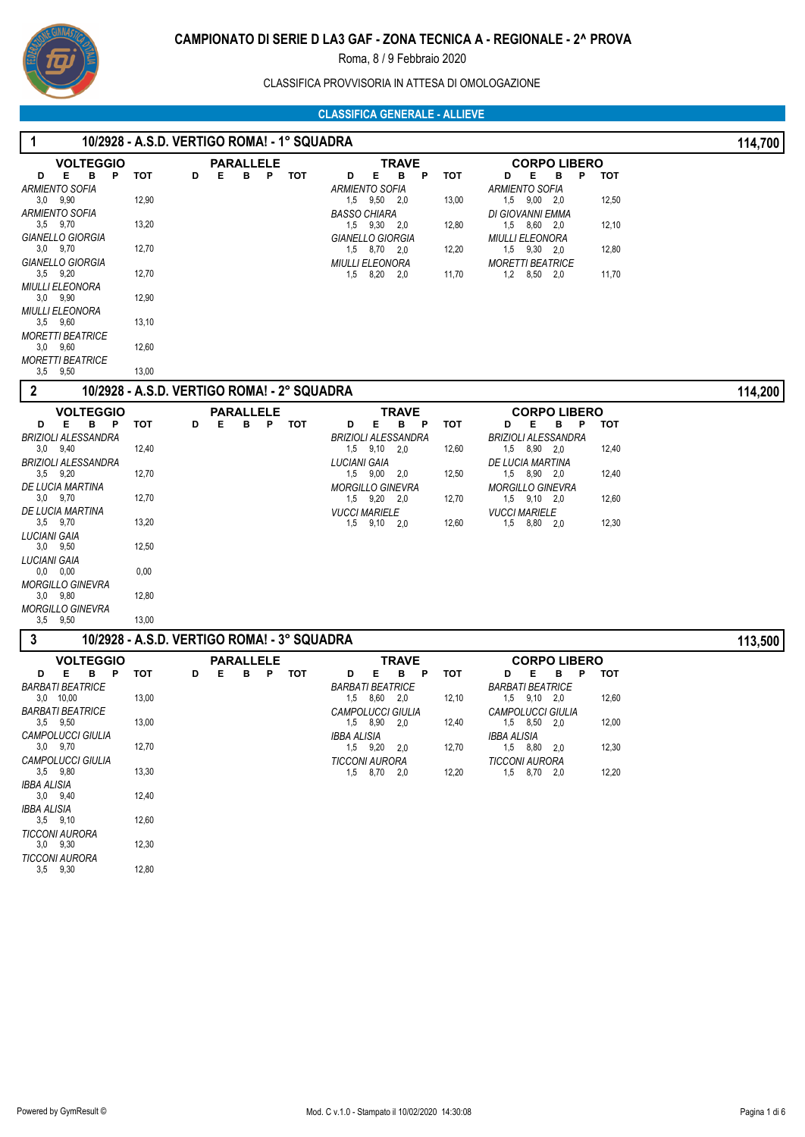

# CLASSIFICA PROVVISORIA IN ATTESA DI OMOLOGAZIONE

| 1                                                  |       |   | 10/2928 - A.S.D. VERTIGO ROMA! - 1° SQUADRA |     |                                                       |       |                                                |       | 114,700 |
|----------------------------------------------------|-------|---|---------------------------------------------|-----|-------------------------------------------------------|-------|------------------------------------------------|-------|---------|
| <b>VOLTEGGIO</b>                                   |       |   | <b>PARALLELE</b>                            |     | TRAVE                                                 |       | <b>CORPO LIBERO</b>                            |       |         |
| Е<br>в<br>$\mathsf{P}$<br>D<br>ARMIENTO SOFIA      | тот   | D | Е<br>B P TOT                                |     | Е.<br>в<br>$\mathsf{P}$<br>D<br><b>ARMIENTO SOFIA</b> | тот   | Е<br>в<br>P<br>D<br><b>ARMIENTO SOFIA</b>      | тот   |         |
| $3,0$ $9,90$                                       | 12,90 |   |                                             |     | 1.5 9.50 2.0                                          | 13,00 | $1,5$ $9,00$ $2,0$                             | 12,50 |         |
| ARMIENTO SOFIA<br>$3,5$ $9,70$<br>GIANELLO GIORGIA | 13,20 |   |                                             |     | <b>BASSO CHIARA</b><br>$1,5$ $9,30$ $2,0$             | 12,80 | DI GIOVANNI EMMA<br>1,5 8,60 2,0               | 12,10 |         |
| $3.0$ $9.70$                                       | 12,70 |   |                                             |     | GIANELLO GIORGIA<br>$1,5$ $8,70$ $2,0$                | 12,20 | <b>MIULLI ELEONORA</b><br>$1,5$ $9,30$ $2,0$   | 12,80 |         |
| GIANELLO GIORGIA<br>$3.5$ $9.20$                   | 12,70 |   |                                             |     | <b>MIULLI ELEONORA</b><br>1,5 8,20<br>2,0             | 11,70 | <b>MORETTI BEATRICE</b><br>$1,2$ $8,50$ $2,0$  | 11,70 |         |
| MIULLI ELEONORA<br>$3,0$ $9,90$                    | 12,90 |   |                                             |     |                                                       |       |                                                |       |         |
| MIULLI ELEONORA<br>$3,5$ $9,60$                    | 13,10 |   |                                             |     |                                                       |       |                                                |       |         |
| <i>MORETTI BEATRICE</i><br>$3.0$ $9.60$            | 12,60 |   |                                             |     |                                                       |       |                                                |       |         |
| <i>MORETTI BEATRICE</i><br>$3,5$ $9,50$            | 13,00 |   |                                             |     |                                                       |       |                                                |       |         |
| $\boldsymbol{2}$                                   |       |   | 10/2928 - A.S.D. VERTIGO ROMA! - 2° SQUADRA |     |                                                       |       |                                                |       | 114,200 |
| <b>VOLTEGGIO</b>                                   |       |   | <b>PARALLELE</b>                            |     | <b>TRAVE</b>                                          |       | <b>CORPO LIBERO</b>                            |       |         |
| D<br>Е<br>в<br>P<br>BRIZIOLI ALESSANDRA            | тот   | D | Е<br>в<br>P                                 | тот | D<br>Е<br>в<br>P<br><b>BRIZIOLI ALESSANDRA</b>        | тот   | Е<br>В<br>P<br>D<br><b>BRIZIOLI ALESSANDRA</b> | тот   |         |
| $3.0$ $9.40$<br>BRIZIOLI ALESSANDRA                | 12,40 |   |                                             |     | $1,5$ $9,10$ $2,0$<br>LUCIANI GAIA                    | 12,60 | $1,5$ $8,90$ $2,0$<br>DE LUCIA MARTINA         | 12,40 |         |
| $3,5$ $9,20$<br>DE LUCIA MARTINA                   | 12,70 |   |                                             |     | $1,5$ $9,00$ $2,0$<br><b>MORGILLO GINEVRA</b>         | 12,50 | $1,5$ $8,90$ $2,0$                             | 12,40 |         |
| $3.0$ $9.70$                                       | 12,70 |   |                                             |     | 1,5 9,20 2,0                                          | 12,70 | <b>MORGILLO GINEVRA</b><br>$1,5$ $9,10$ $2,0$  | 12,60 |         |
| DE LUCIA MARTINA<br>$3,5$ $9,70$                   | 13,20 |   |                                             |     | <b>VUCCI MARIELE</b><br>1,5 9,10 2,0                  | 12,60 | <b>VUCCI MARIELE</b><br>1,5 8,80 2,0           | 12,30 |         |
| LUCIANI GAIA<br>$3,0$ $9,50$                       | 12,50 |   |                                             |     |                                                       |       |                                                |       |         |
| LUCIANI GAIA<br>$0,0$ $0,00$                       | 0,00  |   |                                             |     |                                                       |       |                                                |       |         |
| MORGILLO GINEVRA<br>$3,0$ $9,80$                   | 12,80 |   |                                             |     |                                                       |       |                                                |       |         |
| MORGILLO GINEVRA<br>$3,5$ $9,50$                   | 13,00 |   |                                             |     |                                                       |       |                                                |       |         |
| 3                                                  |       |   | 10/2928 - A.S.D. VERTIGO ROMA! - 3° SQUADRA |     |                                                       |       |                                                |       | 113,500 |
| <b>VOLTEGGIO</b>                                   |       |   | <b>PARALLELE</b>                            |     | <b>TRAVE</b>                                          |       | <b>CORPO LIBERO</b>                            |       |         |
| B <sub>P</sub><br>Е<br>D<br>BARBATI BEATRICE       | тот   | D | в<br>P<br>Е                                 | тот | Е<br>в<br>D<br>P<br><b>BARBATI BEATRICE</b>           | тот   | Е<br>P<br>D<br>в<br><b>BARBATI BEATRICE</b>    | тот   |         |
| $3,0$ 10,00<br>BARBATI BEATRICE                    | 13,00 |   |                                             |     | 1,5 8,60 2,0<br><b>CAMPOLUCCI GIULIA</b>              | 12,10 | $1,5$ $9,10$ $2,0$<br><b>CAMPOLUCCI GIULIA</b> | 12,60 |         |
| $3,5$ $9,50$                                       | 13,00 |   |                                             |     | $1,5$ $8,90$ $2,0$                                    | 12,40 | $1,5$ $8,50$ $2,0$                             | 12,00 |         |
| CAMPOLUCCI GIULIA<br>$3,0$ $9,70$                  | 12,70 |   |                                             |     | IBBA ALISIA<br>1,5 9,20 2,0                           | 12,70 | IBBA ALISIA<br>1,5 8,80 2,0                    | 12,30 |         |
| CAMPOLUCCI GIULIA<br>3,5 9,80                      | 13,30 |   |                                             |     | <b>TICCONI AURORA</b><br>1,5 8,70 2,0                 | 12,20 | TICCONI AURORA<br>1,5 8,70 2,0                 | 12,20 |         |
| IBBA ALISIA<br>$3,0$ $9,40$                        | 12,40 |   |                                             |     |                                                       |       |                                                |       |         |
| IBBA ALISIA<br>$3,5$ $9,10$                        | 12,60 |   |                                             |     |                                                       |       |                                                |       |         |
| <b>TICCONI AURORA</b><br>$3,0$ $9,30$              | 12,30 |   |                                             |     |                                                       |       |                                                |       |         |
| <b>TICCONI AURORA</b><br>$3,5$ $9,30$              | 12,80 |   |                                             |     |                                                       |       |                                                |       |         |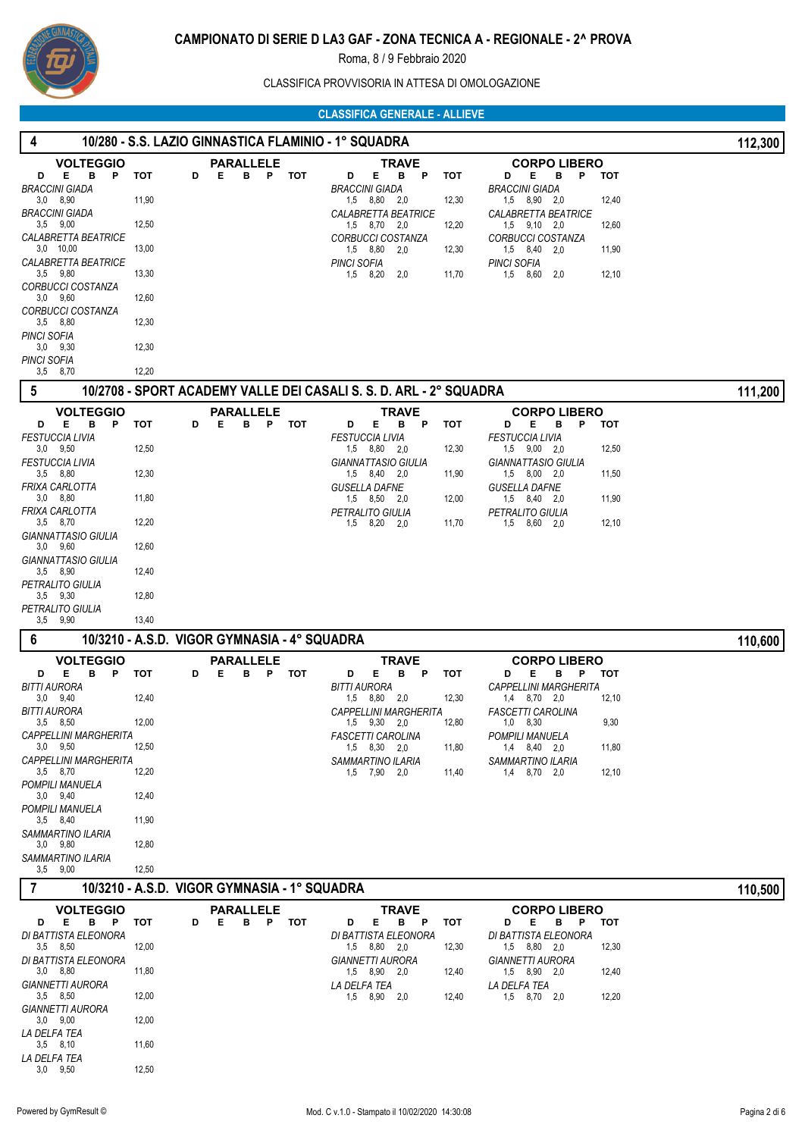

CLASSIFICA PROVVISORIA IN ATTESA DI OMOLOGAZIONE

 **4 10/280 - S.S. LAZIO GINNASTICA FLAMINIO - 1° SQUADRA 112,300**

| <b>VOLTEGGIO</b>                             |                                              |   | <b>PARALLELE</b>    |            | <b>TRAVE</b>                                                       |       | <b>CORPO LIBERO</b>                              |       |         |
|----------------------------------------------|----------------------------------------------|---|---------------------|------------|--------------------------------------------------------------------|-------|--------------------------------------------------|-------|---------|
| Е<br>в<br>D<br>P                             | тот<br>D                                     | Е | в<br>P              | тот        | Е<br>в<br>D<br>P                                                   | тот   | D<br>Е<br>в<br>P                                 | тот   |         |
| <b>BRACCINI GIADA</b><br>$3,0$ $8,90$        | 11,90                                        |   |                     |            | <b>BRACCINI GIADA</b><br>1,5 8,80 2,0                              | 12,30 | <b>BRACCINI GIADA</b><br>$1,5$ $8,90$ $2,0$      | 12,40 |         |
| <b>BRACCINI GIADA</b>                        |                                              |   |                     |            | CALABRETTA BEATRICE                                                |       | <i><b>CALABRETTA BEATRICE</b></i>                |       |         |
| $3,5$ $9,00$                                 | 12,50                                        |   |                     |            | 1.5 8.70 2.0                                                       | 12,20 | $1,5$ $9,10$ $2,0$                               | 12,60 |         |
| CALABRETTA BEATRICE                          |                                              |   |                     |            | CORBUCCI COSTANZA                                                  |       | <b>CORBUCCI COSTANZA</b>                         |       |         |
| $3,0$ 10,00<br>CALABRETTA BEATRICE           | 13,00                                        |   |                     |            | 1,5 8,80<br>2,0<br><b>PINCI SOFIA</b>                              | 12,30 | 1,5 8,40 2,0<br><b>PINCI SOFIA</b>               | 11,90 |         |
| 3,5 9,80                                     | 13,30                                        |   |                     |            | 1,5 8,20<br>2,0                                                    | 11,70 | 1,5 8,60<br>2,0                                  | 12,10 |         |
| CORBUCCI COSTANZA                            |                                              |   |                     |            |                                                                    |       |                                                  |       |         |
| $3,0$ $9,60$                                 | 12,60                                        |   |                     |            |                                                                    |       |                                                  |       |         |
| CORBUCCI COSTANZA<br>$3,5$ $8,80$            | 12,30                                        |   |                     |            |                                                                    |       |                                                  |       |         |
| <b>PINCI SOFIA</b>                           |                                              |   |                     |            |                                                                    |       |                                                  |       |         |
| $3,0$ $9,30$                                 | 12,30                                        |   |                     |            |                                                                    |       |                                                  |       |         |
| <b>PINCI SOFIA</b>                           |                                              |   |                     |            |                                                                    |       |                                                  |       |         |
| 3,5 8,70                                     | 12,20                                        |   |                     |            |                                                                    |       |                                                  |       |         |
| 5                                            |                                              |   |                     |            | 10/2708 - SPORT ACADEMY VALLE DEI CASALI S. S. D. ARL - 2° SQUADRA |       |                                                  |       | 111,200 |
| <b>VOLTEGGIO</b>                             |                                              |   | <b>PARALLELE</b>    |            | TRAVE                                                              |       | <b>CORPO LIBERO</b>                              |       |         |
| Е<br>в<br>P<br>D                             | тот<br>D                                     | Е | B P TOT             |            | Е<br>P<br>D<br>в                                                   | тот   | в<br>P<br>D<br>Е                                 | тот   |         |
| <b>FESTUCCIA LIVIA</b>                       |                                              |   |                     |            | <b>FESTUCCIA LIVIA</b>                                             |       | <b>FESTUCCIA LIVIA</b>                           |       |         |
| $3.0$ $9.50$<br><b>FESTUCCIA LIVIA</b>       | 12,50                                        |   |                     |            | 1,5 8,80 2,0<br><b>GIANNATTASIO GIULIA</b>                         | 12,30 | $1,5$ $9,00$ $2,0$<br><b>GIANNATTASIO GIULIA</b> | 12,50 |         |
| 3,5 8,80                                     | 12,30                                        |   |                     |            | 1,5 8,40 2,0                                                       | 11,90 | $1,5$ $8,00$ $2,0$                               | 11,50 |         |
| FRIXA CARLOTTA                               |                                              |   |                     |            | <b>GUSELLA DAFNE</b>                                               |       | <b>GUSELLA DAFNE</b>                             |       |         |
| 3,0 8,80                                     | 11,80                                        |   |                     |            | 1,5 8,50 2,0                                                       | 12,00 | 1,5 8,40 2,0                                     | 11,90 |         |
| FRIXA CARLOTTA<br>3,5 8,70                   | 12,20                                        |   |                     |            | PETRALITO GIULIA<br>1,5 8,20<br>2,0                                | 11,70 | PETRALITO GIULIA<br>8,60 2,0<br>1,5              | 12,10 |         |
| GIANNATTASIO GIULIA                          |                                              |   |                     |            |                                                                    |       |                                                  |       |         |
| 3,0 9,60                                     | 12,60                                        |   |                     |            |                                                                    |       |                                                  |       |         |
| GIANNATTASIO GIULIA                          |                                              |   |                     |            |                                                                    |       |                                                  |       |         |
| $3,5$ $8,90$                                 | 12,40                                        |   |                     |            |                                                                    |       |                                                  |       |         |
| PETRALITO GIULIA<br>$3,5$ $9,30$             | 12,80                                        |   |                     |            |                                                                    |       |                                                  |       |         |
| PETRALITO GIULIA                             |                                              |   |                     |            |                                                                    |       |                                                  |       |         |
| $3,5$ $9,90$                                 | 13,40                                        |   |                     |            |                                                                    |       |                                                  |       |         |
|                                              |                                              |   |                     |            |                                                                    |       |                                                  |       |         |
| 6                                            | 10/3210 - A.S.D. VIGOR GYMNASIA - 4° SQUADRA |   |                     |            |                                                                    |       |                                                  |       |         |
|                                              |                                              |   |                     |            |                                                                    |       |                                                  |       | 110,600 |
| <b>VOLTEGGIO</b><br>Е<br>в<br>P<br>D         | тот<br>D                                     | Е | PARALLELE<br>P<br>в | <b>TOT</b> | TRAVE<br>Е<br>в<br>D<br>P                                          | тот   | <b>CORPO LIBERO</b><br>D<br>Е<br>в<br>P          | тот   |         |
| <b>BITTI AURORA</b>                          |                                              |   |                     |            | <b>BITTI AURORA</b>                                                |       | <b>CAPPELLINI MARGHERITA</b>                     |       |         |
| $3,0$ $9,40$                                 | 12,40                                        |   |                     |            | 1,5 8,80 2,0                                                       | 12,30 | 1,4 8,70 2,0                                     | 12,10 |         |
| <b>BITTI AURORA</b>                          |                                              |   |                     |            | CAPPELLINI MARGHERITA                                              |       | <b>FASCETTI CAROLINA</b>                         |       |         |
| $3,5$ $8,50$                                 | 12,00                                        |   |                     |            | $1,5$ $9,30$ $2,0$                                                 | 12,80 | $1,0$ $8,30$                                     | 9,30  |         |
| <b>CAPPELLINI MARGHERITA</b><br>$3,0$ $9,50$ | 12,50                                        |   |                     |            | <b>FASCETTI CAROLINA</b><br>$1,5$ $8,30$ $2,0$                     | 11,80 | POMPILI MANUELA<br>$1,4$ $8,40$ $2,0$            | 11,80 |         |
| CAPPELLINI MARGHERITA                        |                                              |   |                     |            | SAMMARTINO ILARIA                                                  |       | SAMMARTINO ILARIA                                |       |         |
| $3.5$ $8.70$                                 | 12,20                                        |   |                     |            | 1,5 7,90 2,0                                                       | 11,40 | 1,4 8,70 2,0                                     | 12,10 |         |
| POMPILI MANUELA                              |                                              |   |                     |            |                                                                    |       |                                                  |       |         |
| $3.0$ $9.40$<br>POMPILI MANUELA              | 12,40                                        |   |                     |            |                                                                    |       |                                                  |       |         |
| 3,5 8,40                                     | 11,90                                        |   |                     |            |                                                                    |       |                                                  |       |         |
| SAMMARTINO ILARIA                            |                                              |   |                     |            |                                                                    |       |                                                  |       |         |
| $3.0$ $9.80$                                 | 12,80                                        |   |                     |            |                                                                    |       |                                                  |       |         |
| SAMMARTINO ILARIA<br>$3,5$ $9,00$            | 12,50                                        |   |                     |            |                                                                    |       |                                                  |       |         |
|                                              |                                              |   |                     |            |                                                                    |       |                                                  |       |         |
| $\overline{7}$                               | 10/3210 - A.S.D. VIGOR GYMNASIA - 1° SQUADRA |   |                     |            |                                                                    |       |                                                  |       | 110,500 |
| <b>VOLTEGGIO</b>                             |                                              |   | <b>PARALLELE</b>    |            | <b>TRAVE</b>                                                       |       | <b>CORPO LIBERO</b>                              |       |         |
| B<br>Е.<br>$\mathsf{P}$<br>D                 | тот<br>D                                     | Е | в                   | P TOT      | Е<br>B.<br>D<br>P                                                  | тот   | D<br>Е<br>в<br>P                                 | тот   |         |
| DI BATTISTA ELEONORA<br>$3,5$ $8,50$         | 12,00                                        |   |                     |            | DI BATTISTA ELEONORA<br>1,5 8,80 2,0                               | 12,30 | DI BATTISTA ELEONORA<br>1,5 8,80 2,0             | 12,30 |         |
| DI BATTISTA ELEONORA                         |                                              |   |                     |            | <b>GIANNETTI AURORA</b>                                            |       | <b>GIANNETTI AURORA</b>                          |       |         |
| $3,0$ $8,80$                                 | 11,80                                        |   |                     |            | 1,5 8,90 2,0                                                       | 12,40 | 1,5 8,90 2,0                                     | 12,40 |         |
| <b>GIANNETTI AURORA</b>                      |                                              |   |                     |            | LA DELFA TEA                                                       |       | LA DELFA TEA                                     |       |         |
| $3,5$ $8,50$                                 | 12,00                                        |   |                     |            | 1,5 8,90 2,0                                                       | 12,40 | 1,5 8,70 2,0                                     | 12,20 |         |
| <b>GIANNETTI AURORA</b><br>$3,0$ $9,00$      | 12,00                                        |   |                     |            |                                                                    |       |                                                  |       |         |
| LA DELFA TEA                                 |                                              |   |                     |            |                                                                    |       |                                                  |       |         |
| $3,5$ $8,10$                                 | 11,60                                        |   |                     |            |                                                                    |       |                                                  |       |         |
| LA DELFA TEA<br>$3,0$ $9,50$                 | 12,50                                        |   |                     |            |                                                                    |       |                                                  |       |         |
|                                              |                                              |   |                     |            |                                                                    |       |                                                  |       |         |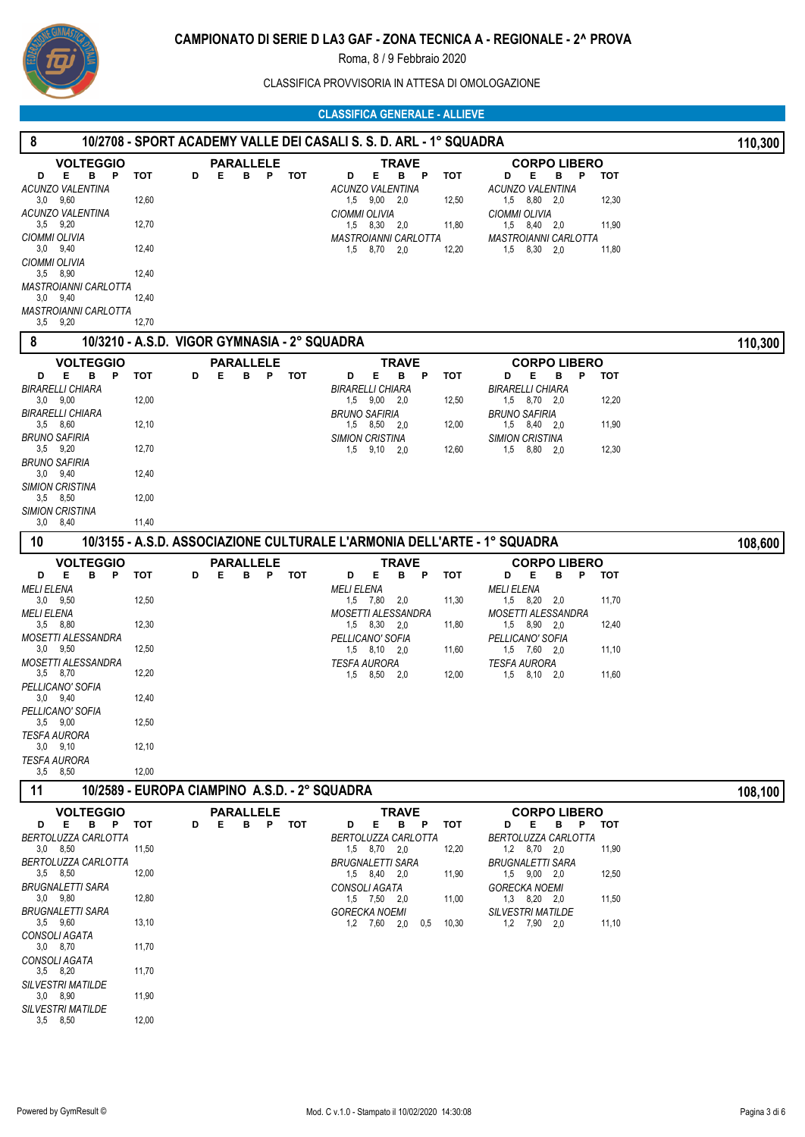

CLASSIFICA PROVVISORIA IN ATTESA DI OMOLOGAZIONE

#### **CLASSIFICA GENERALE - ALLIEVE**

#### **8 10/2708 - SPORT ACADEMY VALLE DEI CASALI S. S. D. ARL - 1° SQUADRA 110,300 VOLTEGGIO D E B P TOT** 3,0 9,60 12,60 *ACUNZO VALENTINA* 3.5 9.20 *ACUNZO VALENTINA* 9,20 12,70 3,0 9,40 12,40 *CIOMMI OLIVIA* 3,5 8,90 *CIOMMI OLIVIA* 12,40 **PARALLELE TRAVE CORPO LIBERO D E B P TOT D E B P TOT** 1,5 9,00 2,0 12,50 *ACUNZO VALENTINA* 1,5 8,30 2,0 11,80 *CIOMMI OLIVIA* 1,5 8,70 2,0 12,20 *MASTROIANNI CARLOTTA* **D E B P TOT** 1,5 8,80 2,0 12,30 *ACUNZO VALENTINA* 1,5 8,40 2,0 11,90 *CIOMMI OLIVIA* 1,5 8,30 2,0 11,80 *MASTROIANNI CARLOTTA*

# **8 10/3210 - A.S.D. VIGOR GYMNASIA - 2° SQUADRA 110,300**

 3,0 9,40 12,40 *MASTROIANNI CARLOTTA*

9,20 12,70

 $3,5$   $9,20$ *MASTROIANNI CARLOTTA*

|                                        |                                                                          |   |   |   |                  |            |                           |              |              |   |            |                           |                     |     |   |            | 1.0,000 |
|----------------------------------------|--------------------------------------------------------------------------|---|---|---|------------------|------------|---------------------------|--------------|--------------|---|------------|---------------------------|---------------------|-----|---|------------|---------|
| <b>VOLTEGGIO</b>                       |                                                                          |   |   |   | <b>PARALLELE</b> |            |                           |              | <b>TRAVE</b> |   |            |                           | <b>CORPO LIBERO</b> |     |   |            |         |
| B<br>Е<br>P<br>D                       | тот                                                                      | D | Е | в | P                | <b>TOT</b> | D                         | Е            | в            | P | <b>TOT</b> | D                         | Е                   | в   | P | тот        |         |
| BIRARELLI CHIARA                       |                                                                          |   |   |   |                  |            | <b>BIRARELLI CHIARA</b>   |              |              |   |            | <b>BIRARELLI CHIARA</b>   |                     |     |   |            |         |
| $3,0$ $9,00$                           | 12,00                                                                    |   |   |   |                  |            |                           | 1,5 9,00 2,0 |              |   | 12,50      |                           | 1,5 8,70 2,0        |     |   | 12,20      |         |
| BIRARELLI CHIARA                       |                                                                          |   |   |   |                  |            | <b>BRUNO SAFIRIA</b>      |              |              |   |            | <b>BRUNO SAFIRIA</b>      |                     |     |   |            |         |
| $3,5$ $8,60$                           | 12,10                                                                    |   |   |   |                  |            |                           | 1,5 8,50 2,0 |              |   | 12,00      |                           | 1,5 8,40 2,0        |     |   | 11,90      |         |
| BRUNO SAFIRIA                          |                                                                          |   |   |   |                  |            | <b>SIMION CRISTINA</b>    |              |              |   |            | <b>SIMION CRISTINA</b>    |                     |     |   |            |         |
| $3,5$ $9,20$                           | 12,70                                                                    |   |   |   |                  |            | 1,5                       | 9,10         | 2,0          |   | 12,60      | 1,5                       | 8,80 2,0            |     |   | 12,30      |         |
| <b>BRUNO SAFIRIA</b>                   |                                                                          |   |   |   |                  |            |                           |              |              |   |            |                           |                     |     |   |            |         |
| $3,0$ $9,40$                           | 12,40                                                                    |   |   |   |                  |            |                           |              |              |   |            |                           |                     |     |   |            |         |
| <b>SIMION CRISTINA</b><br>$3,5$ $8,50$ | 12,00                                                                    |   |   |   |                  |            |                           |              |              |   |            |                           |                     |     |   |            |         |
| SIMION CRISTINA                        |                                                                          |   |   |   |                  |            |                           |              |              |   |            |                           |                     |     |   |            |         |
| $3,0$ $8,40$                           | 11,40                                                                    |   |   |   |                  |            |                           |              |              |   |            |                           |                     |     |   |            |         |
|                                        |                                                                          |   |   |   |                  |            |                           |              |              |   |            |                           |                     |     |   |            |         |
| 10                                     | 10/3155 - A.S.D. ASSOCIAZIONE CULTURALE L'ARMONIA DELL'ARTE - 1° SQUADRA |   |   |   |                  |            |                           |              |              |   |            |                           |                     |     |   |            | 108,600 |
| <b>VOLTEGGIO</b>                       |                                                                          |   |   |   | <b>PARALLELE</b> |            |                           |              | <b>TRAVE</b> |   |            |                           | <b>CORPO LIBERO</b> |     |   |            |         |
| в<br>Е<br>P<br>D                       | <b>TOT</b>                                                               | D | Е | в | P                | <b>TOT</b> | D                         | Е            | в            | P | <b>TOT</b> | D                         | Е                   | в   | P | <b>TOT</b> |         |
| <b>MELI ELENA</b>                      |                                                                          |   |   |   |                  |            | <b>MELI ELENA</b>         |              |              |   |            | <b>MELI ELENA</b>         |                     |     |   |            |         |
| $3,0$ $9,50$                           | 12,50                                                                    |   |   |   |                  |            |                           | 1,5 7,80     | 2,0          |   | 11,30      |                           | 1,5 8,20            | 2,0 |   | 11,70      |         |
| <b>MELI ELENA</b>                      |                                                                          |   |   |   |                  |            | <b>MOSETTI ALESSANDRA</b> |              |              |   |            | <b>MOSETTI ALESSANDRA</b> |                     |     |   |            |         |
| $3.5$ $8.80$                           | 12,30                                                                    |   |   |   |                  |            |                           | 1,5 8,30 2,0 |              |   | 11,80      |                           | 1,5 8,90 2,0        |     |   | 12,40      |         |
| MOSETTI ALESSANDRA                     |                                                                          |   |   |   |                  |            | PELLICANO' SOFIA          |              |              |   |            | PELLICANO' SOFIA          |                     |     |   |            |         |
| $3,0$ $9,50$                           | 12,50                                                                    |   |   |   |                  |            |                           | 1,5 8,10 2,0 |              |   | 11,60      |                           | 1,5 7,60 2,0        |     |   | 11,10      |         |
| MOSETTI ALESSANDRA                     |                                                                          |   |   |   |                  |            | <b>TESFA AURORA</b>       |              |              |   |            | <b>TESFA AURORA</b>       |                     |     |   |            |         |
| 3,5 8,70                               | 12.20                                                                    |   |   |   |                  |            | 1,5                       | 8,50         | 2.0          |   | 12,00      | 1,5                       | 8,10 2,0            |     |   | 11,60      |         |
| PELLICANO' SOFIA                       |                                                                          |   |   |   |                  |            |                           |              |              |   |            |                           |                     |     |   |            |         |
| $3,0$ $9,40$                           | 12,40                                                                    |   |   |   |                  |            |                           |              |              |   |            |                           |                     |     |   |            |         |
| PELLICANO' SOFIA                       |                                                                          |   |   |   |                  |            |                           |              |              |   |            |                           |                     |     |   |            |         |
| $3,5$ $9,00$                           | 12,50                                                                    |   |   |   |                  |            |                           |              |              |   |            |                           |                     |     |   |            |         |
| <b>TESFA AURORA</b>                    |                                                                          |   |   |   |                  |            |                           |              |              |   |            |                           |                     |     |   |            |         |
| $3,0$ $9,10$                           | 12,10                                                                    |   |   |   |                  |            |                           |              |              |   |            |                           |                     |     |   |            |         |
| <b>TESFA AURORA</b><br>$3,5$ $8,50$    | 12.00                                                                    |   |   |   |                  |            |                           |              |              |   |            |                           |                     |     |   |            |         |
|                                        |                                                                          |   |   |   |                  |            |                           |              |              |   |            |                           |                     |     |   |            |         |

# **10/2589 - EUROPA CIAMPINO A.S.D. - 2° SQUADRA** 108,100

12,00

|                          |                 |   | <b>VOLTEGGIO</b> |       |   |   | <b>PARALLELE</b> |   |     |                      |      | <b>TRAVE</b> |     |       |                          | <b>CORPO LIBERO</b> |     |   |       |
|--------------------------|-----------------|---|------------------|-------|---|---|------------------|---|-----|----------------------|------|--------------|-----|-------|--------------------------|---------------------|-----|---|-------|
| D                        | Е               | в | P                | тот   | D | Е | в                | P | тот | D                    | Е    | в            | -P  | тот   | D                        | Е                   | в   | P | тот   |
| BERTOLUZZA CARLOTTA      |                 |   |                  |       |   |   |                  |   |     | BERTOLUZZA CARLOTTA  |      |              |     |       | BERTOLUZZA CARLOTTA      |                     |     |   |       |
| 3,0                      | 8,50            |   |                  | 11,50 |   |   |                  |   |     | 1,5                  | 8,70 | 2,0          |     | 12,20 | 1,2                      | 8.70                | 2,0 |   | 11,90 |
| BERTOLUZZA CARLOTTA      |                 |   |                  |       |   |   |                  |   |     | BRUGNALETTI SARA     |      |              |     |       | BRUGNALETTI SARA         |                     |     |   |       |
|                          | $3.5\quad 8.50$ |   |                  | 12,00 |   |   |                  |   |     | 1.5                  | 8,40 | 2,0          |     | 11,90 | 1.5                      | 9,00                | 2.0 |   | 12,50 |
| BRUGNALETTI SARA         |                 |   |                  |       |   |   |                  |   |     | CONSOLI AGATA        |      |              |     |       | <b>GORECKA NOEMI</b>     |                     |     |   |       |
|                          | $3,0$ $9,80$    |   |                  | 12,80 |   |   |                  |   |     | 1,5                  | 7,50 | - 2.0        |     | 11,00 | 1,3                      | 8,20                | 2.0 |   | 11,50 |
| <b>BRUGNALETTI SARA</b>  |                 |   |                  |       |   |   |                  |   |     | <b>GORECKA NOEMI</b> |      |              |     |       | <b>SILVESTRI MATILDE</b> |                     |     |   |       |
| 3,5                      | 9,60            |   |                  | 13,10 |   |   |                  |   |     | 1,2                  | 7,60 | 2,0          | 0,5 | 10,30 | 1,2                      | 7,90                | 2.0 |   | 11,10 |
| CONSOLI AGATA            |                 |   |                  |       |   |   |                  |   |     |                      |      |              |     |       |                          |                     |     |   |       |
|                          | $3,0$ $8,70$    |   |                  | 11.70 |   |   |                  |   |     |                      |      |              |     |       |                          |                     |     |   |       |
| CONSOLI AGATA            |                 |   |                  |       |   |   |                  |   |     |                      |      |              |     |       |                          |                     |     |   |       |
|                          | $3,5$ $8,20$    |   |                  | 11.70 |   |   |                  |   |     |                      |      |              |     |       |                          |                     |     |   |       |
| <b>SILVESTRI MATILDE</b> |                 |   |                  |       |   |   |                  |   |     |                      |      |              |     |       |                          |                     |     |   |       |
|                          | $3,0$ $8,90$    |   |                  | 11,90 |   |   |                  |   |     |                      |      |              |     |       |                          |                     |     |   |       |
| <b>SILVESTRI MATILDE</b> |                 |   |                  |       |   |   |                  |   |     |                      |      |              |     |       |                          |                     |     |   |       |
|                          | $3.5$ $8.50$    |   |                  | 12.00 |   |   |                  |   |     |                      |      |              |     |       |                          |                     |     |   |       |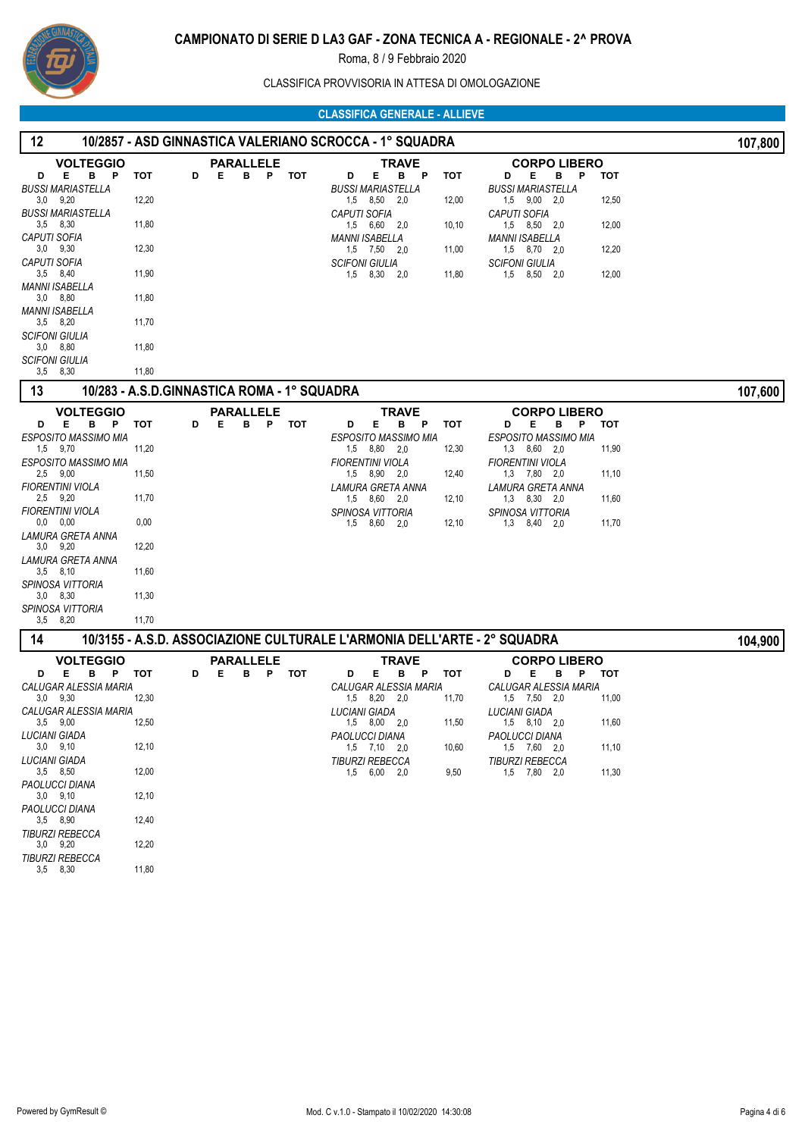

CLASSIFICA PROVVISORIA IN ATTESA DI OMOLOGAZIONE

| 12                                                                                                                                                                                                                                                                                                                                                             |                                                                                  |                                             |       | 10/2857 - ASD GINNASTICA VALERIANO SCROCCA - 1° SQUADRA                                                                                                                                                     |                                                |                                                                                                                                                                                                                             |                                                | 107,800 |
|----------------------------------------------------------------------------------------------------------------------------------------------------------------------------------------------------------------------------------------------------------------------------------------------------------------------------------------------------------------|----------------------------------------------------------------------------------|---------------------------------------------|-------|-------------------------------------------------------------------------------------------------------------------------------------------------------------------------------------------------------------|------------------------------------------------|-----------------------------------------------------------------------------------------------------------------------------------------------------------------------------------------------------------------------------|------------------------------------------------|---------|
| <b>VOLTEGGIO</b><br>Е<br>в<br>$\mathsf{P}$<br>D<br><b>BUSSI MARIASTELLA</b><br>$3,0$ $9,20$<br><b>BUSSI MARIASTELLA</b><br>$3,5$ $8,30$<br><b>CAPUTI SOFIA</b><br>$3,0$ $9,30$<br>CAPUTI SOFIA<br>$3,5$ $8,40$<br>MANNI ISABELLA<br>$3,0$ $8,80$<br>MANNI ISABELLA<br>$3,5$ $8,20$<br><b>SCIFONI GIULIA</b><br>$3,0$ $8,80$<br><b>SCIFONI GIULIA</b>           | тот<br>D<br>12,20<br>11,80<br>12,30<br>11,90<br>11,80<br>11,70<br>11,80          | <b>PARALLELE</b><br>Е<br>в                  | P TOT | <b>TRAVE</b><br>Е<br>в<br>P<br>D<br><b>BUSSI MARIASTELLA</b><br>1,5 8,50 2,0<br><b>CAPUTI SOFIA</b><br>1,5 6,60 2,0<br><b>MANNI ISABELLA</b><br>$1,5$ $7,50$ $2,0$<br><b>SCIFONI GIULIA</b><br>1,5 8,30 2,0 | <b>TOT</b><br>12,00<br>10,10<br>11,00<br>11,80 | <b>CORPO LIBERO</b><br>Е<br>P<br>D<br>в<br><b>BUSSI MARIASTELLA</b><br>1,5 9,00 2,0<br><b>CAPUTI SOFIA</b><br>1,5 8,50 2,0<br><b>MANNI ISABELLA</b><br>$1,5$ $8,70$ $2,0$<br><b>SCIFONI GIULIA</b><br>1,5 8,50 2,0          | <b>TOT</b><br>12,50<br>12,00<br>12,20<br>12,00 |         |
| 3,5 8,30<br>13                                                                                                                                                                                                                                                                                                                                                 | 11,80                                                                            | 10/283 - A.S.D.GINNASTICA ROMA - 1° SQUADRA |       |                                                                                                                                                                                                             |                                                |                                                                                                                                                                                                                             |                                                | 107,600 |
| <b>VOLTEGGIO</b><br>E.<br>B <sub>P</sub><br>D<br><b>ESPOSITO MASSIMO MIA</b><br>1,5 9,70<br>ESPOSITO MASSIMO MIA<br>$2.5$ 9.00<br><b>FIORENTINI VIOLA</b><br>2,5 9,20<br><b>FIORENTINI VIOLA</b><br>0.0 0.00<br>LAMURA GRETA ANNA<br>$3.0$ $9.20$<br>LAMURA GRETA ANNA<br>$3,5$ $8,10$<br>SPINOSA VITTORIA<br>$3,0$ $8,30$<br>SPINOSA VITTORIA<br>$3,5$ $8,20$ | тот<br>D<br>11,20<br>11,50<br>11,70<br>0,00<br>12,20<br>11,60<br>11,30<br>11,70  | <b>PARALLELE</b><br>в<br>P.<br>Е            | тот   | <b>TRAVE</b><br>Е.<br>D<br>в<br>P<br>ESPOSITO MASSIMO MIA<br>1,5 8,80 2,0<br><b>FIORENTINI VIOLA</b><br>1,5 8,90 2,0<br>LAMURA GRETA ANNA<br>1,5 8,60 2,0<br><b>SPINOSA VITTORIA</b><br>1,5 8,60<br>2,0     | <b>TOT</b><br>12,30<br>12,40<br>12,10<br>12,10 | <b>CORPO LIBERO</b><br>D<br>Е<br>в<br>P<br>ESPOSITO MASSIMO MIA<br>$1,3$ $8,60$ $2,0$<br><b>FIORENTINI VIOLA</b><br>$1,3$ $7,80$ $2,0$<br>LAMURA GRETA ANNA<br>$1,3$ $8,30$ $2,0$<br>SPINOSA VITTORIA<br>$1,3$ $8,40$ $2,0$ | тот<br>11,90<br>11,10<br>11,60<br>11,70        |         |
| 14                                                                                                                                                                                                                                                                                                                                                             |                                                                                  |                                             |       | 10/3155 - A.S.D. ASSOCIAZIONE CULTURALE L'ARMONIA DELL'ARTE - 2° SQUADRA                                                                                                                                    |                                                |                                                                                                                                                                                                                             |                                                | 104,900 |
| <b>VOLTEGGIO</b><br>Е<br>в<br>D<br>P<br>CALUGAR ALESSIA MARIA<br>$3,0$ $9,30$<br>CALUGAR ALESSIA MARIA<br>$3,5$ $9,00$<br><b>LUCIANI GIADA</b><br>$3,0$ $9,10$<br>LUCIANI GIADA<br>$3,5$ $8,50$<br>PAOLUCCI DIANA<br>$3,0$ $9,10$<br>PAOLUCCI DIANA<br>$3,5$ $8,90$<br><b>TIBURZI REBECCA</b><br>$3,0$ $9,20$<br><b>TIBURZI REBECCA</b><br>$3.5$ $8.30$        | D<br>тот<br>12,30<br>12,50<br>12,10<br>12,00<br>12,10<br>12,40<br>12,20<br>11,80 | <b>PARALLELE</b><br>в<br>Е<br>P             | тот   | TRAVE<br>E.<br>в<br>P<br>D<br>CALUGAR ALESSIA MARIA<br>1,5 8,20<br>2,0<br><b>LUCIANI GIADA</b><br>1,5 8,00<br>2,0<br>PAOLUCCI DIANA<br>$1,5$ $7,10$ $2,0$<br><b>TIBURZI REBECCA</b><br>$1,5$ 6,00 2,0       | <b>TOT</b><br>11,70<br>11,50<br>10,60<br>9,50  | <b>CORPO LIBERO</b><br>D<br>Е<br>P<br>в<br>CALUGAR ALESSIA MARIA<br>$1,5$ $7,50$ $2,0$<br>LUCIANI GIADA<br>$1,5$ $8,10$ $2,0$<br>PAOLUCCI DIANA<br>1,5 7,60 2,0<br><b>TIBURZI REBECCA</b><br>1,5 7,80 2,0                   | тот<br>11,00<br>11,60<br>11,10<br>11,30        |         |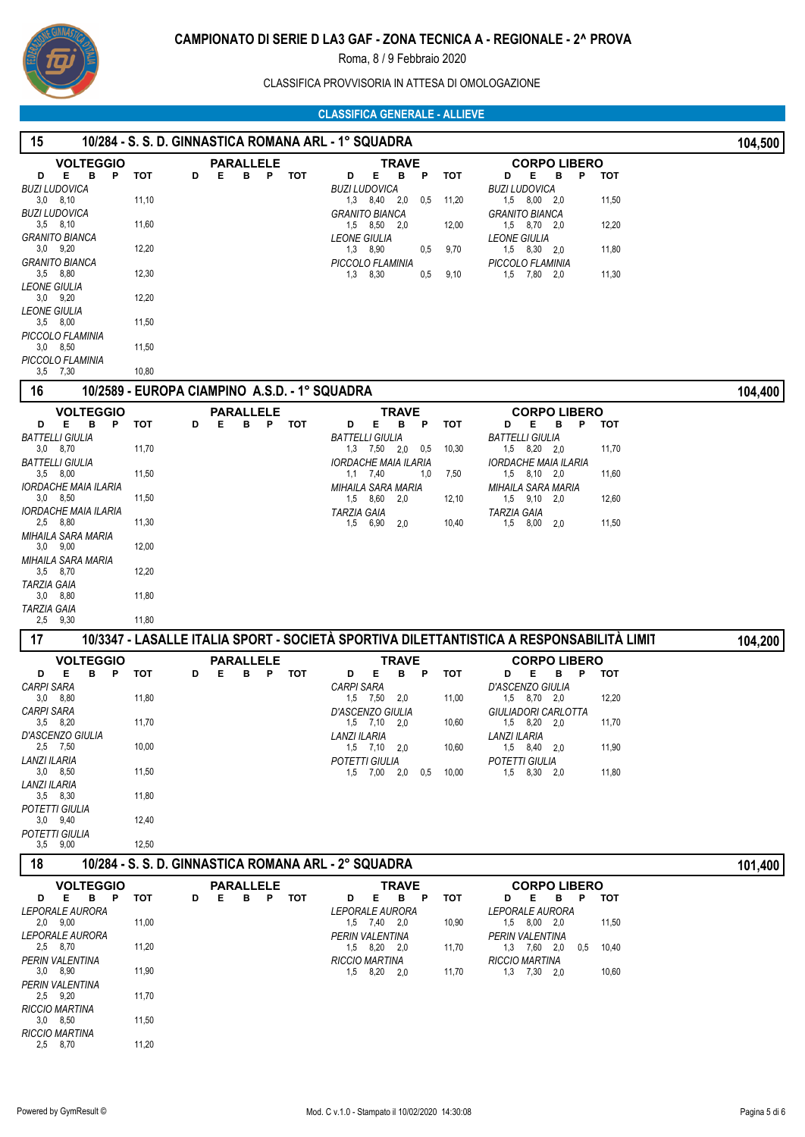

CLASSIFICA PROVVISORIA IN ATTESA DI OMOLOGAZIONE

 **15 10/284 - S. S. D. GINNASTICA ROMANA ARL - 1° SQUADRA 104,500**

| <b>VOLTEGGIO</b>                            |            | <b>PARALLELE</b>                              | <b>TRAVE</b>                                                                                     |             | <b>CORPO LIBERO</b>                                        |         |
|---------------------------------------------|------------|-----------------------------------------------|--------------------------------------------------------------------------------------------------|-------------|------------------------------------------------------------|---------|
| Е<br>в<br>D<br>P<br><b>BUZI LUDOVICA</b>    | тот        | Е<br>в<br>Ρ<br>D                              | тот<br>Е<br>в<br>D<br>Ρ<br><b>BUZI LUDOVICA</b>                                                  | тот         | Е<br>в<br>P<br>тот<br>D<br><b>BUZI LUDOVICA</b>            |         |
| $3,0$ $8,10$                                | 11,10      |                                               | 1,3 8,40 2,0<br>0,5                                                                              | 11,20       | $1,5$ $8,00$ $2,0$<br>11,50                                |         |
| BUZI LUDOVICA<br>$3,5$ $8,10$               | 11,60      |                                               | <b>GRANITO BIANCA</b><br>$1,5$ $8,50$ $2,0$                                                      | 12,00       | <b>GRANITO BIANCA</b><br>12,20<br>$1,5$ $8,70$ $2,0$       |         |
| <b>GRANITO BIANCA</b>                       |            |                                               | <b>LEONE GIULIA</b>                                                                              |             | <b>LEONE GIULIA</b>                                        |         |
| $3,0$ $9,20$                                | 12,20      |                                               | 1,3 8,90<br>0,5                                                                                  | 9,70        | 1,5 8,30 2,0<br>11,80                                      |         |
| GRANITO BIANCA<br>$3,5$ $8,80$              | 12,30      |                                               | PICCOLO FLAMINIA<br>$1,3$ $8,30$<br>0,5                                                          | 9,10        | PICCOLO FLAMINIA<br>1,5 7,80 2,0<br>11,30                  |         |
| <b>LEONE GIULIA</b>                         |            |                                               |                                                                                                  |             |                                                            |         |
| $3.0$ $9.20$                                | 12,20      |                                               |                                                                                                  |             |                                                            |         |
| <b>LEONE GIULIA</b><br>$3,5$ $8,00$         | 11,50      |                                               |                                                                                                  |             |                                                            |         |
| PICCOLO FLAMINIA                            |            |                                               |                                                                                                  |             |                                                            |         |
| $3.0\quad 8.50$                             | 11,50      |                                               |                                                                                                  |             |                                                            |         |
| PICCOLO FLAMINIA<br>$3,5$ 7,30              | 10,80      |                                               |                                                                                                  |             |                                                            |         |
| 16                                          |            | 10/2589 - EUROPA CIAMPINO A.S.D. - 1° SQUADRA |                                                                                                  |             |                                                            | 104,400 |
|                                             |            |                                               |                                                                                                  |             |                                                            |         |
| <b>VOLTEGGIO</b><br>E.<br>в<br>P.<br>D      | <b>TOT</b> | <b>PARALLELE</b><br>B P<br>Е<br>D             | <b>TRAVE</b><br><b>TOT</b><br>Е<br>в<br>P<br>D                                                   | тот         | <b>CORPO LIBERO</b><br>Е<br>в<br>P<br>D<br>тот             |         |
| <b>BATTELLI GIULIA</b>                      |            |                                               | <b>BATTELLI GIULIA</b>                                                                           |             | <b>BATTELLI GIULIA</b>                                     |         |
| $3,0$ $8,70$                                | 11,70      |                                               | $1,3$ $7,50$ $2,0$<br>0,5                                                                        | 10,30       | $1,5$ $8,20$ $2,0$<br>11,70                                |         |
| <b>BATTELLI GIULIA</b><br>$3,5$ $8,00$      | 11,50      |                                               | <b>IORDACHE MAIA ILARIA</b><br>$1,1$ $7,40$<br>1,0                                               | 7,50        | <b>IORDACHE MAIA ILARIA</b><br>$1,5$ $8,10$ $2,0$<br>11,60 |         |
| IORDACHE MAIA ILARIA                        |            |                                               | <b>MIHAILA SARA MARIA</b>                                                                        |             | MIHAILA SARA MARIA                                         |         |
| $3,0$ $8,50$<br><b>IORDACHE MAIA ILARIA</b> | 11,50      |                                               | 1,5 8,60<br>2,0                                                                                  | 12,10       | 1,5 9,10 2,0<br>12,60                                      |         |
| 2,5 8,80                                    | 11,30      |                                               | <b>TARZIA GAIA</b><br>1,5<br>6,90<br>2,0                                                         | 10,40       | <b>TARZIA GAIA</b><br>1,5 8,00 2,0<br>11,50                |         |
| MIHAILA SARA MARIA                          |            |                                               |                                                                                                  |             |                                                            |         |
| $3,0$ $9,00$<br>MIHAILA SARA MARIA          | 12,00      |                                               |                                                                                                  |             |                                                            |         |
| 3,5 8,70                                    | 12,20      |                                               |                                                                                                  |             |                                                            |         |
| TARZIA GAIA                                 |            |                                               |                                                                                                  |             |                                                            |         |
| $3,0$ $8,80$<br><b>TARZIA GAIA</b>          | 11,80      |                                               |                                                                                                  |             |                                                            |         |
|                                             |            |                                               |                                                                                                  |             |                                                            |         |
| 2,5 9,30                                    | 11,80      |                                               |                                                                                                  |             |                                                            |         |
| 17                                          |            |                                               | <u> 10/3347 - LASALLE ITALIA SPORT - SOCIETÀ SPORTIVA DILETTANTISTICA A RESPONSABILITÀ LIMIT</u> |             |                                                            |         |
|                                             |            |                                               |                                                                                                  |             |                                                            | 104,200 |
| <b>VOLTEGGIO</b><br>Е<br>в<br>D<br>P        | тот        | <b>PARALLELE</b><br>P TOT<br>D<br>Е<br>в      | <b>TRAVE</b><br>D<br>Е<br>в<br>P                                                                 | тот         | <b>CORPO LIBERO</b><br>D<br>Е<br>в<br>- P<br>тот           |         |
| <b>CARPI SARA</b>                           |            |                                               | <b>CARPI SARA</b>                                                                                |             | D'ASCENZO GIULIA                                           |         |
| $3,0$ $8,80$                                | 11,80      |                                               | 1,5 7,50<br>2,0                                                                                  | 11,00       | 12,20<br>1,5 8,70 2,0                                      |         |
| <b>CARPI SARA</b><br>$3.5$ $8.20$           | 11,70      |                                               | D'ASCENZO GIULIA<br>$1,5$ $7,10$<br>2,0                                                          | 10,60       | GIULIADORI CARLOTTA<br>1,5 8,20<br>11,70<br>2,0            |         |
| D'ASCENZO GIULIA                            |            |                                               | <b>LANZI ILARIA</b>                                                                              |             | <b>LANZI ILARIA</b>                                        |         |
| 2,5 7,50                                    | 10,00      |                                               | 1,5 7,10<br>2,0                                                                                  | 10,60       | $1,5$ $8,40$ $2,0$<br>11,90                                |         |
| LANZI ILARIA<br>$3,0$ $8,50$                | 11,50      |                                               | POTETTI GIULIA<br>1,5 7,00<br>2,0                                                                | $0,5$ 10,00 | POTETTI GIULIA<br>1,5 8,30<br>2,0<br>11,80                 |         |
| LANZI ILARIA                                |            |                                               |                                                                                                  |             |                                                            |         |
| $3,5$ $8,30$                                | 11,80      |                                               |                                                                                                  |             |                                                            |         |
| POTETTI GIULIA<br>$3,0$ $9,40$              | 12,40      |                                               |                                                                                                  |             |                                                            |         |
| POTETTI GIULIA                              |            |                                               |                                                                                                  |             |                                                            |         |
| $3,5$ $9,00$                                | 12,50      |                                               |                                                                                                  |             |                                                            |         |
| 18                                          |            |                                               | 10/284 - S. S. D. GINNASTICA ROMANA ARL - 2° SQUADRA                                             |             |                                                            | 101,400 |
| <b>VOLTEGGIO</b>                            |            | <b>PARALLELE</b>                              | <b>TRAVE</b>                                                                                     |             | <b>CORPO LIBERO</b>                                        |         |
| Е<br>в<br>P<br>D<br>LEPORALE AURORA         | тот        | P TOT<br>Е<br>в<br>D                          | Е<br>в<br>P<br>D<br>LEPORALE AURORA                                                              | тот         | Е<br>P<br>тот<br>D<br>в<br>LEPORALE AURORA                 |         |
| $2,0$ $9,00$                                | 11,00      |                                               | $1,5$ $7,40$ $2,0$                                                                               | 10,90       | $1,5$ $8,00$ $2,0$<br>11,50                                |         |
| <b>LEPORALE AURORA</b>                      |            |                                               | PERIN VALENTINA                                                                                  |             | PERIN VALENTINA                                            |         |
| 2,5 8,70<br>PERIN VALENTINA                 | 11,20      |                                               | 1,5 8,20 2,0<br><b>RICCIO MARTINA</b>                                                            | 11,70       | 1,3 7,60 2,0<br>0,5<br>10,40<br><b>RICCIO MARTINA</b>      |         |
| $3,0$ $8,90$                                | 11,90      |                                               | 1,5 8,20 2,0                                                                                     | 11,70       | $1,3$ $7,30$ $2,0$<br>10,60                                |         |
| PERIN VALENTINA                             |            |                                               |                                                                                                  |             |                                                            |         |
| $2,5$ 9,20<br><b>RICCIO MARTINA</b>         | 11,70      |                                               |                                                                                                  |             |                                                            |         |
| $3,0$ $8,50$                                | 11,50      |                                               |                                                                                                  |             |                                                            |         |
| RICCIO MARTINA<br>2,5 8,70                  | 11,20      |                                               |                                                                                                  |             |                                                            |         |
|                                             |            |                                               |                                                                                                  |             |                                                            |         |